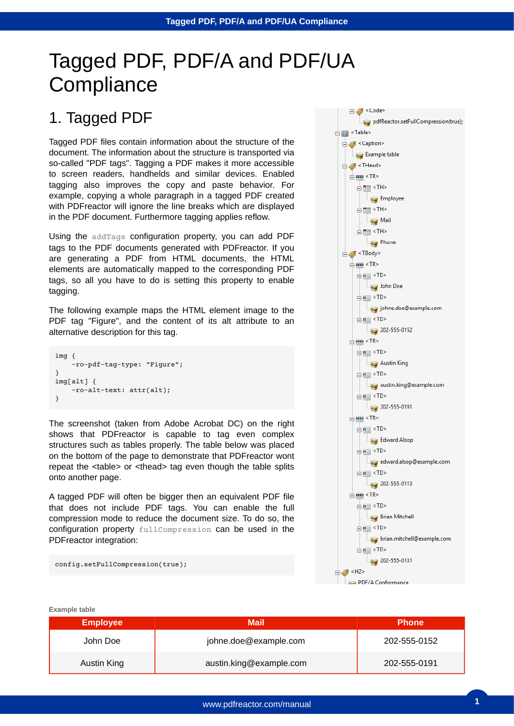# Tagged PDF, PDF/A and PDF/UA **Compliance**

## 1. Tagged PDF

Tagged PDF files contain information about the structure of the document. The information about the structure is transported via so-called "PDF tags". Tagging a PDF makes it more accessible to screen readers, handhelds and similar devices. Enabled tagging also improves the copy and paste behavior. For example, copying a whole paragraph in a tagged PDF created with PDFreactor will ignore the line breaks which are displayed in the PDF document. Furthermore tagging applies reflow.

Using the addTags configuration property, you can add PDF tags to the PDF documents generated with PDFreactor. If you are generating a PDF from HTML documents, the HTML elements are automatically mapped to the corresponding PDF tags, so all you have to do is setting this property to enable tagging.

The following example maps the HTML element image to the PDF tag "Figure", and the content of its alt attribute to an alternative description for this tag.

```
img {
     -ro-pdf-tag-type: "Figure";
}
img[alt] {
     -ro-alt-text: attr(alt);
}
```
The screenshot (taken from Adobe Acrobat DC) on the right shows that PDFreactor is capable to tag even complex structures such as tables properly. The table below was placed on the bottom of the page to demonstrate that PDFreactor wont repeat the <table> or <thead> tag even though the table splits onto another page.

A tagged PDF will often be bigger then an equivalent PDF file that does not include PDF tags. You can enable the full compression mode to reduce the document size. To do so, the configuration property fullCompression can be used in the PDFreactor integration:

config.setFullCompression(true);



| <b>Employee</b> | <b>Mail</b>             | <b>Phone</b> |
|-----------------|-------------------------|--------------|
| John Doe        | johne.doe@example.com   | 202-555-0152 |
| Austin King     | austin.king@example.com | 202-555-0191 |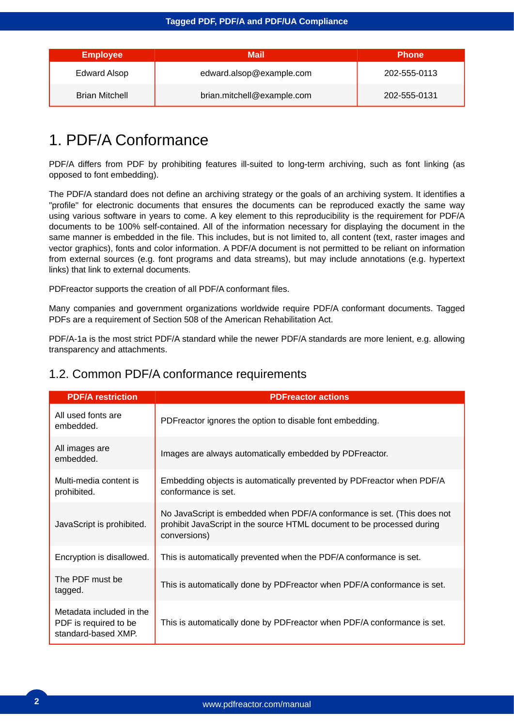| <b>Employee</b>       | <b>Mail</b>                | <b>Phone</b> |
|-----------------------|----------------------------|--------------|
| Edward Alsop          | edward.alsop@example.com   | 202-555-0113 |
| <b>Brian Mitchell</b> | brian.mitchell@example.com | 202-555-0131 |

# 1. PDF/A Conformance

PDF/A differs from PDF by prohibiting features ill-suited to long-term archiving, such as font linking (as opposed to font embedding).

The PDF/A standard does not define an archiving strategy or the goals of an archiving system. It identifies a "profile" for electronic documents that ensures the documents can be reproduced exactly the same way using various software in years to come. A key element to this reproducibility is the requirement for PDF/A documents to be 100% self-contained. All of the information necessary for displaying the document in the same manner is embedded in the file. This includes, but is not limited to, all content (text, raster images and vector graphics), fonts and color information. A PDF/A document is not permitted to be reliant on information from external sources (e.g. font programs and data streams), but may include annotations (e.g. hypertext links) that link to external documents.

PDFreactor supports the creation of all PDF/A conformant files.

Many companies and government organizations worldwide require PDF/A conformant documents. Tagged PDFs are a requirement of Section 508 of the American Rehabilitation Act.

PDF/A-1a is the most strict PDF/A standard while the newer PDF/A standards are more lenient, e.g. allowing transparency and attachments.

| <b>PDF/A restriction</b>                                                 | <b>PDFreactor actions</b>                                                                                                                                         |
|--------------------------------------------------------------------------|-------------------------------------------------------------------------------------------------------------------------------------------------------------------|
| All used fonts are<br>embedded.                                          | PDF reactor ignores the option to disable font embedding.                                                                                                         |
| All images are<br>embedded.                                              | Images are always automatically embedded by PDFreactor.                                                                                                           |
| Multi-media content is<br>prohibited.                                    | Embedding objects is automatically prevented by PDFreactor when PDF/A<br>conformance is set.                                                                      |
| JavaScript is prohibited.                                                | No JavaScript is embedded when PDF/A conformance is set. (This does not<br>prohibit JavaScript in the source HTML document to be processed during<br>conversions) |
| Encryption is disallowed.                                                | This is automatically prevented when the PDF/A conformance is set.                                                                                                |
| The PDF must be<br>tagged.                                               | This is automatically done by PDFreactor when PDF/A conformance is set.                                                                                           |
| Metadata included in the<br>PDF is required to be<br>standard-based XMP. | This is automatically done by PDFreactor when PDF/A conformance is set.                                                                                           |

### 1.2. Common PDF/A conformance requirements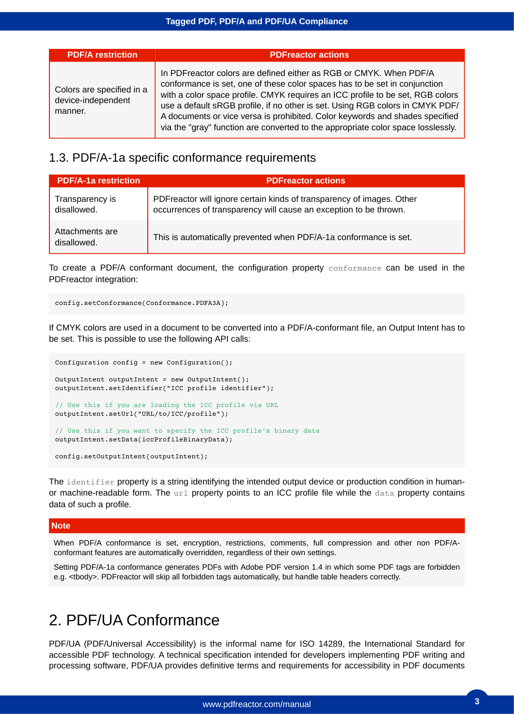#### **Tagged PDF, PDF/A and PDF/UA Compliance**

| <b>PDF/A restriction</b>                                   | <b>PDFreactor actions</b>                                                                                                                                                                                                                                                                                                                                                                                                                                                               |  |
|------------------------------------------------------------|-----------------------------------------------------------------------------------------------------------------------------------------------------------------------------------------------------------------------------------------------------------------------------------------------------------------------------------------------------------------------------------------------------------------------------------------------------------------------------------------|--|
| Colors are specified in a<br>device-independent<br>manner. | In PDFreactor colors are defined either as RGB or CMYK. When PDF/A<br>conformance is set, one of these color spaces has to be set in conjunction<br>with a color space profile. CMYK requires an ICC profile to be set, RGB colors<br>use a default sRGB profile, if no other is set. Using RGB colors in CMYK PDF/<br>A documents or vice versa is prohibited. Color keywords and shades specified<br>via the "gray" function are converted to the appropriate color space losslessly. |  |

### 1.3. PDF/A-1a specific conformance requirements

| <b>PDF/A-1a restriction</b>    | <b>PDFreactor actions</b>                                                                                                                  |
|--------------------------------|--------------------------------------------------------------------------------------------------------------------------------------------|
| Transparency is<br>disallowed. | PDFreactor will ignore certain kinds of transparency of images. Other<br>occurrences of transparency will cause an exception to be thrown. |
| Attachments are<br>disallowed. | This is automatically prevented when PDF/A-1a conformance is set.                                                                          |

To create a PDF/A conformant document, the configuration property conformance can be used in the PDFreactor integration:

config.setConformance(Conformance.PDFA3A);

If CMYK colors are used in a document to be converted into a PDF/A-conformant file, an Output Intent has to be set. This is possible to use the following API calls:

```
Configuration config = new Configuration();
OutputIntent outputIntent = new OutputIntent();
outputIntent.setIdentifier("ICC profile identifier");
// Use this if you are loading the ICC profile via URL
outputIntent.setUrl("URL/to/ICC/profile");
// Use this if you want to specify the ICC profile's binary data
outputIntent.setData(iccProfileBinaryData);
```
config.setOutputIntent(outputIntent);

The identifier property is a string identifying the intended output device or production condition in humanor machine-readable form. The url property points to an ICC profile file while the data property contains data of such a profile.

#### **Note**

When PDF/A conformance is set, encryption, restrictions, comments, full compression and other non PDF/Aconformant features are automatically overridden, regardless of their own settings.

Setting PDF/A-1a conformance generates PDFs with Adobe PDF version 1.4 in which some PDF tags are forbidden e.g. <tbody>. PDFreactor will skip all forbidden tags automatically, but handle table headers correctly.

### 2. PDF/UA Conformance

PDF/UA (PDF/Universal Accessibility) is the informal name for ISO 14289, the International Standard for accessible PDF technology. A technical specification intended for developers implementing PDF writing and processing software, PDF/UA provides definitive terms and requirements for accessibility in PDF documents